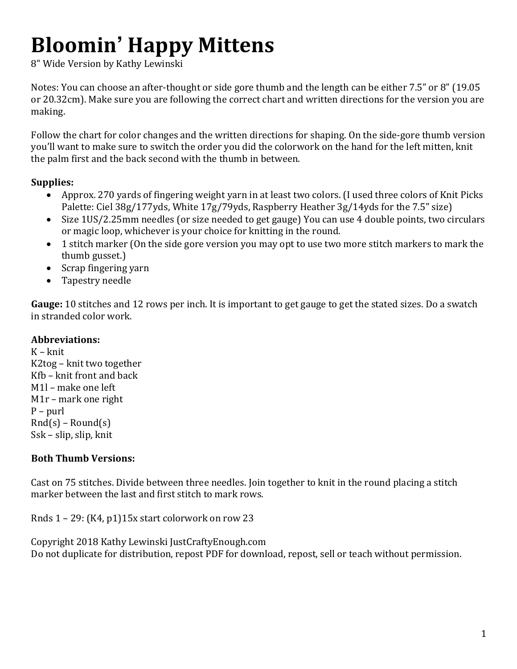# **Bloomin' Happy Mittens**

8" Wide Version by Kathy Lewinski

Notes: You can choose an after-thought or side gore thumb and the length can be either 7.5" or 8" (19.05 or 20.32cm). Make sure you are following the correct chart and written directions for the version you are making. 

Follow the chart for color changes and the written directions for shaping. On the side-gore thumb version you'll want to make sure to switch the order you did the colorwork on the hand for the left mitten, knit the palm first and the back second with the thumb in between.

#### **Supplies:**

- Approx. 270 yards of fingering weight yarn in at least two colors. (I used three colors of Knit Picks Palette: Ciel 38g/177yds, White 17g/79yds, Raspberry Heather 3g/14yds for the 7.5" size)
- Size 1US/2.25mm needles (or size needed to get gauge) You can use 4 double points, two circulars or magic loop, whichever is your choice for knitting in the round.
- 1 stitch marker (On the side gore version you may opt to use two more stitch markers to mark the thumb gusset.)
- Scrap fingering yarn
- Tapestry needle

**Gauge:** 10 stitches and 12 rows per inch. It is important to get gauge to get the stated sizes. Do a swatch in stranded color work.

### **Abbreviations:**

K – knit  $K2$ tog – knit two together  $Kfb - k$ nit front and back M1l – make one left  $M1r$  – mark one right  $P$  – purl  $Rnd(s)$  – Round(s) Ssk – slip, slip, knit

## **Both Thumb Versions:**

Cast on 75 stitches. Divide between three needles. Join together to knit in the round placing a stitch marker between the last and first stitch to mark rows.

Rnds  $1 - 29$ : (K4, p1)15x start colorwork on row 23

Copyright 2018 Kathy Lewinski JustCraftyEnough.com Do not duplicate for distribution, repost PDF for download, repost, sell or teach without permission.